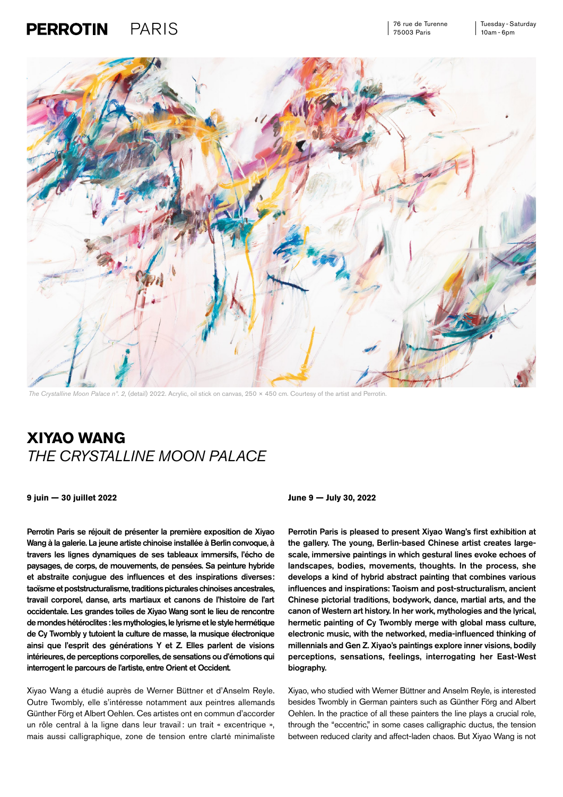## $\textsf{PARIS} \textcolor{black}{\leftarrow} \textcolor{black}{\textsf{S}} \textcolor{black}{\leftarrow} \textcolor{black}{\leftarrow} \textcolor{black}{\leftarrow} \textcolor{black}{\leftarrow} \textcolor{black}{\leftarrow} \textcolor{black}{\leftarrow} \textcolor{black}{\leftarrow} \textcolor{black}{\leftarrow} \textcolor{black}{\leftarrow} \textcolor{black}{\leftarrow} \textcolor{black}{\leftarrow} \textcolor{black}{\leftarrow} \textcolor{black}{\leftarrow} \textcolor{black}{\leftarrow} \textcolor{black}{\leftarrow} \textcolor{black}{\leftarrow} \textcolor{black}{\leftarrow} \textcolor{black}{\leftarrow} \textcolor{black}{\leftarrow} \$ **PERROTIN**

76 rue de Turenne 75003 Paris



*The Crystalline Moon Palace nº. 2,* (detail) 2022. Acrylic, oil stick on canvas, 250 × 450 cm. Courtesy of the artist and Perrotin.

## **XIYAO WANG**  *THE CRYSTALLINE MOON PALACE*

**9 juin — 30 juillet 2022 June 9 — July 30, 2022**

Perrotin Paris se réjouit de présenter la première exposition de Xiyao Wang à la galerie. La jeune artiste chinoise installée à Berlin convoque, à travers les lignes dynamiques de ses tableaux immersifs, l'écho de paysages, de corps, de mouvements, de pensées. Sa peinture hybride et abstraite conjugue des influences et des inspirations diverses: taoïsme et poststructuralisme, traditions picturales chinoises ancestrales, travail corporel, danse, arts martiaux et canons de l'histoire de l'art occidentale. Les grandes toiles de Xiyao Wang sont le lieu de rencontre de mondes hétéroclites : les mythologies, le lyrisme et le style hermétique de Cy Twombly y tutoient la culture de masse, la musique électronique ainsi que l'esprit des générations Y et Z. Elles parlent de visions intérieures, de perceptions corporelles, de sensations ou d'émotions qui interrogent le parcours de l'artiste, entre Orient et Occident.

Xiyao Wang a étudié auprès de Werner Büttner et d'Anselm Reyle. Outre Twombly, elle s'intéresse notamment aux peintres allemands Günther Förg et Albert Oehlen. Ces artistes ont en commun d'accorder un rôle central à la ligne dans leur travail : un trait « excentrique », mais aussi calligraphique, zone de tension entre clarté minimaliste

Perrotin Paris is pleased to present Xiyao Wang's first exhibition at the gallery. The young, Berlin-based Chinese artist creates largescale, immersive paintings in which gestural lines evoke echoes of landscapes, bodies, movements, thoughts. In the process, she develops a kind of hybrid abstract painting that combines various influences and inspirations: Taoism and post-structuralism, ancient Chinese pictorial traditions, bodywork, dance, martial arts, and the canon of Western art history. In her work, mythologies and the lyrical, hermetic painting of Cy Twombly merge with global mass culture, electronic music, with the networked, media-influenced thinking of millennials and Gen Z. Xiyao's paintings explore inner visions, bodily perceptions, sensations, feelings, interrogating her East-West biography.

Xiyao, who studied with Werner Büttner and Anselm Reyle, is interested besides Twombly in German painters such as Günther Förg and Albert Oehlen. In the practice of all these painters the line plays a crucial role, through the "eccentric," in some cases calligraphic ductus, the tension between reduced clarity and affect-laden chaos. But Xiyao Wang is not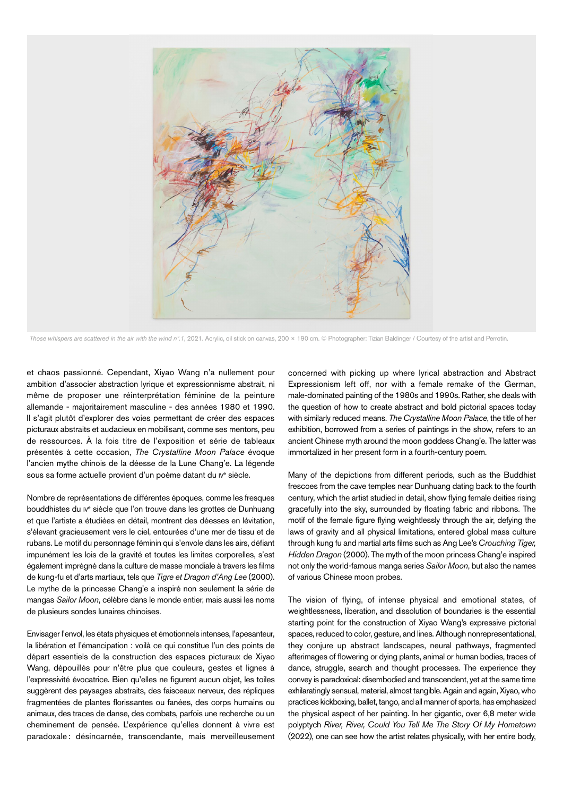

*Those whispers are scattered in the air with the wind nº.1*, 2021. Acrylic, oil stick on canvas, 200 × 190 cm. © Photographer: Tizian Baldinger / Courtesy of the artist and Perrotin.

et chaos passionné. Cependant, Xiyao Wang n'a nullement pour ambition d'associer abstraction lyrique et expressionnisme abstrait, ni même de proposer une réinterprétation féminine de la peinture allemande - majoritairement masculine - des années 1980 et 1990. Il s'agit plutôt d'explorer des voies permettant de créer des espaces picturaux abstraits et audacieux en mobilisant, comme ses mentors, peu de ressources. À la fois titre de l'exposition et série de tableaux présentés à cette occasion, *The Crystalline Moon Palace* évoque l'ancien mythe chinois de la déesse de la Lune Chang'e. La légende sous sa forme actuelle provient d'un poème datant du Iv<sup>e</sup> siècle.

Nombre de représentations de différentes époques, comme les fresques bouddhistes du iv<sup>e</sup> siècle que l'on trouve dans les grottes de Dunhuang et que l'artiste a étudiées en détail, montrent des déesses en lévitation, s'élevant gracieusement vers le ciel, entourées d'une mer de tissu et de rubans. Le motif du personnage féminin qui s'envole dans les airs, défiant impunément les lois de la gravité et toutes les limites corporelles, s'est également imprégné dans la culture de masse mondiale à travers les films de kung-fu et d'arts martiaux, tels que *Tigre et Dragon d'Ang Lee* (2000). Le mythe de la princesse Chang'e a inspiré non seulement la série de mangas *Sailor Moon*, célèbre dans le monde entier, mais aussi les noms de plusieurs sondes lunaires chinoises.

Envisager l'envol, les états physiques et émotionnels intenses, l'apesanteur, la libération et l'émancipation : voilà ce qui constitue l'un des points de départ essentiels de la construction des espaces picturaux de Xiyao Wang, dépouillés pour n'être plus que couleurs, gestes et lignes à l'expressivité évocatrice. Bien qu'elles ne figurent aucun objet, les toiles suggèrent des paysages abstraits, des faisceaux nerveux, des répliques fragmentées de plantes florissantes ou fanées, des corps humains ou animaux, des traces de danse, des combats, parfois une recherche ou un cheminement de pensée. L'expérience qu'elles donnent à vivre est paradoxale : désincarnée, transcendante, mais merveilleusement concerned with picking up where lyrical abstraction and Abstract Expressionism left off, nor with a female remake of the German, male-dominated painting of the 1980s and 1990s. Rather, she deals with the question of how to create abstract and bold pictorial spaces today with similarly reduced means. *The Crystalline Moon Palace*, the title of her exhibition, borrowed from a series of paintings in the show, refers to an ancient Chinese myth around the moon goddess Chang'e. The latter was immortalized in her present form in a fourth-century poem.

Many of the depictions from different periods, such as the Buddhist frescoes from the cave temples near Dunhuang dating back to the fourth century, which the artist studied in detail, show flying female deities rising gracefully into the sky, surrounded by floating fabric and ribbons. The motif of the female figure flying weightlessly through the air, defying the laws of gravity and all physical limitations, entered global mass culture through kung fu and martial arts films such as Ang Lee's *Crouching Tiger, Hidden Dragon* (2000). The myth of the moon princess Chang'e inspired not only the world-famous manga series *Sailor Moon*, but also the names of various Chinese moon probes.

The vision of flying, of intense physical and emotional states, of weightlessness, liberation, and dissolution of boundaries is the essential starting point for the construction of Xiyao Wang's expressive pictorial spaces, reduced to color, gesture, and lines. Although nonrepresentational, they conjure up abstract landscapes, neural pathways, fragmented afterimages of flowering or dying plants, animal or human bodies, traces of dance, struggle, search and thought processes. The experience they convey is paradoxical: disembodied and transcendent, yet at the same time exhilaratingly sensual, material, almost tangible. Again and again, Xiyao, who practices kickboxing, ballet, tango, and all manner of sports, has emphasized the physical aspect of her painting. In her gigantic, over 6,8 meter wide polyptych *River, River, Could You Tell Me The Story Of My Hometown* (2022), one can see how the artist relates physically, with her entire body,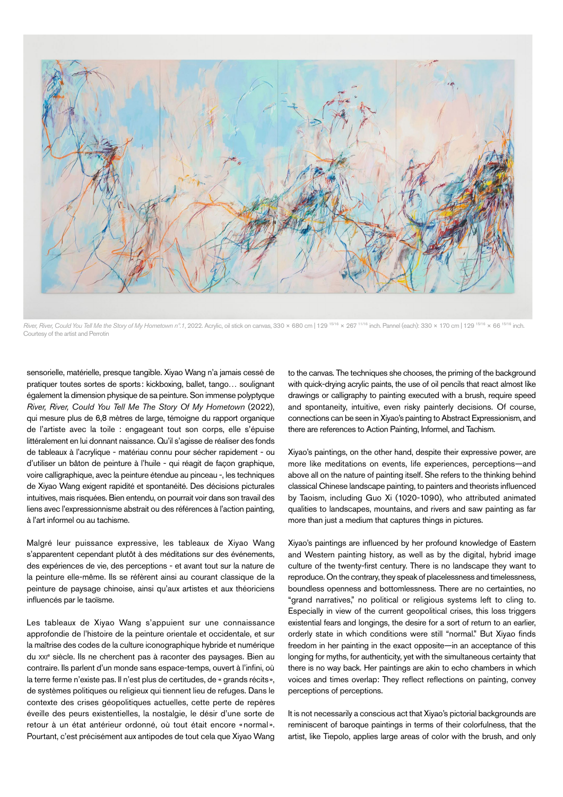

*River, River, Could You Tell Me the Story of My Hometown nº.1*, 2022. Acrylic, oil stick on canvas, 330 × 680 cm | 129 15/16 × 267 11/16 inch. Pannel (each): 330 × 170 cm | 129 15/16 × 66 15/16 inch. Courtesy of the artist and Perrotin

sensorielle, matérielle, presque tangible. Xiyao Wang n'a jamais cessé de pratiquer toutes sortes de sports: kickboxing, ballet, tango… soulignant également la dimension physique de sa peinture. Son immense polyptyque *River, River, Could You Tell Me The Story Of My Hometown* (2022), qui mesure plus de 6,8 mètres de large, témoigne du rapport organique de l'artiste avec la toile : engageant tout son corps, elle s'épuise littéralement en lui donnant naissance. Qu'il s'agisse de réaliser des fonds de tableaux à l'acrylique - matériau connu pour sécher rapidement - ou d'utiliser un bâton de peinture à l'huile - qui réagit de façon graphique, voire calligraphique, avec la peinture étendue au pinceau -, les techniques de Xiyao Wang exigent rapidité et spontanéité. Des décisions picturales intuitives, mais risquées. Bien entendu, on pourrait voir dans son travail des liens avec l'expressionnisme abstrait ou des références à l'action painting, à l'art informel ou au tachisme.

Malgré leur puissance expressive, les tableaux de Xiyao Wang s'apparentent cependant plutôt à des méditations sur des événements, des expériences de vie, des perceptions - et avant tout sur la nature de la peinture elle-même. Ils se réfèrent ainsi au courant classique de la peinture de paysage chinoise, ainsi qu'aux artistes et aux théoriciens influencés par le taoïsme.

Les tableaux de Xiyao Wang s'appuient sur une connaissance approfondie de l'histoire de la peinture orientale et occidentale, et sur la maîtrise des codes de la culture iconographique hybride et numérique du xxi<sup>e</sup> siècle. Ils ne cherchent pas à raconter des paysages. Bien au contraire. Ils parlent d'un monde sans espace-temps, ouvert à l'infini, où la terre ferme n'existe pas. Il n'est plus de certitudes, de « grands récits», de systèmes politiques ou religieux qui tiennent lieu de refuges. Dans le contexte des crises géopolitiques actuelles, cette perte de repères éveille des peurs existentielles, la nostalgie, le désir d'une sorte de retour à un état antérieur ordonné, où tout était encore «normal». Pourtant, c'est précisément aux antipodes de tout cela que Xiyao Wang

to the canvas. The techniques she chooses, the priming of the background with quick-drying acrylic paints, the use of oil pencils that react almost like drawings or calligraphy to painting executed with a brush, require speed and spontaneity, intuitive, even risky painterly decisions. Of course, connections can be seen in Xiyao's painting to Abstract Expressionism, and there are references to Action Painting, Informel, and Tachism.

Xiyao's paintings, on the other hand, despite their expressive power, are more like meditations on events, life experiences, perceptions—and above all on the nature of painting itself. She refers to the thinking behind classical Chinese landscape painting, to painters and theorists influenced by Taoism, including Guo Xi (1020-1090), who attributed animated qualities to landscapes, mountains, and rivers and saw painting as far more than just a medium that captures things in pictures.

Xiyao's paintings are influenced by her profound knowledge of Eastern and Western painting history, as well as by the digital, hybrid image culture of the twenty-first century. There is no landscape they want to reproduce. On the contrary, they speak of placelessness and timelessness, boundless openness and bottomlessness. There are no certainties, no "grand narratives," no political or religious systems left to cling to. Especially in view of the current geopolitical crises, this loss triggers existential fears and longings, the desire for a sort of return to an earlier, orderly state in which conditions were still "normal." But Xiyao finds freedom in her painting in the exact opposite—in an acceptance of this longing for myths, for authenticity, yet with the simultaneous certainty that there is no way back. Her paintings are akin to echo chambers in which voices and times overlap: They reflect reflections on painting, convey perceptions of perceptions.

It is not necessarily a conscious act that Xiyao's pictorial backgrounds are reminiscent of baroque paintings in terms of their colorfulness, that the artist, like Tiepolo, applies large areas of color with the brush, and only